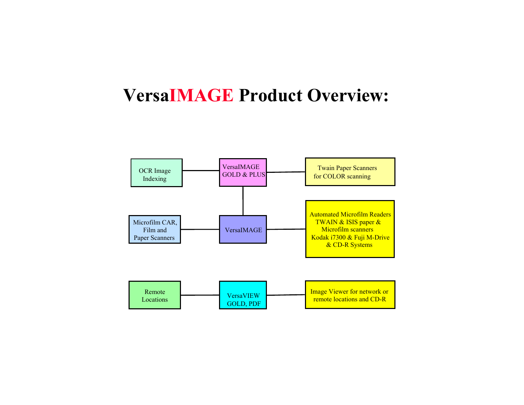### **VersaIMAGE Product Overview:**

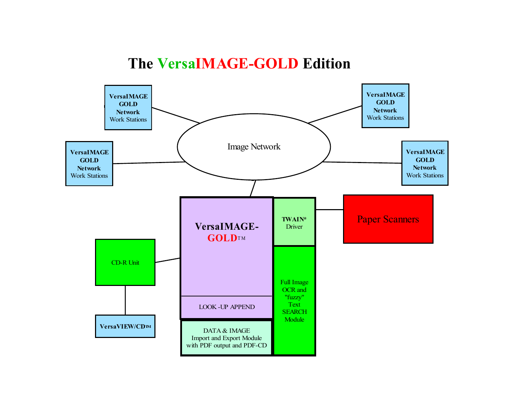#### **The VersaIMAGE-GOLD Edition**

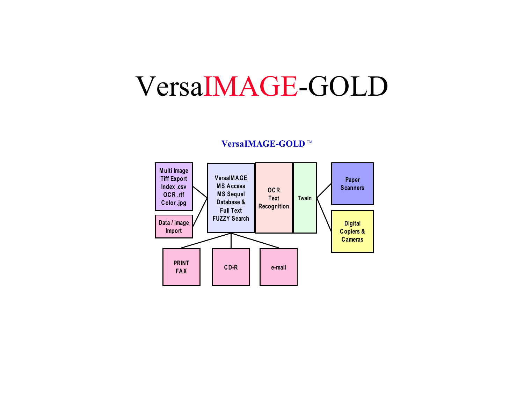## VersaIMAGE-GOLD

#### **VersaIMAGE-GOLD** ™

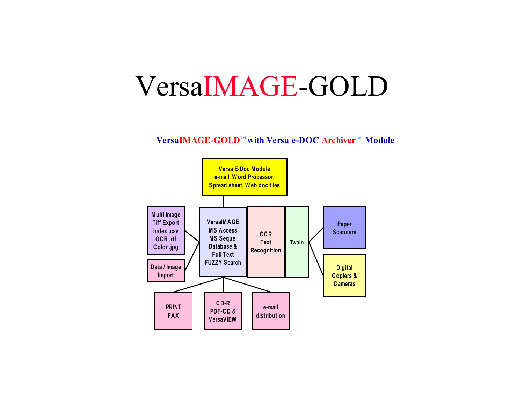## VersaIMAGE-GOLD

 $\mathbf{VersaIMAGE\text{-}GOLD}^{\mathbb{M}}$  with  $\mathbf{Versa}$  e-DOC Archiver  $\mathbb{M}$  Module

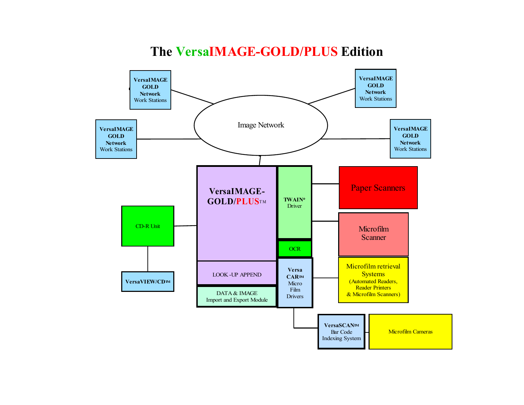#### **The VersaIMAGE-GOLD/PLUS Edition**

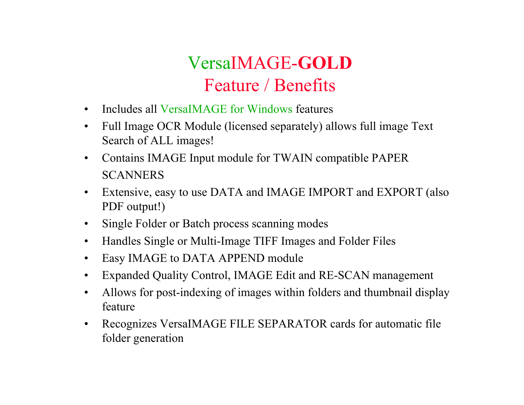## VersaIMAGE-**GOLD**Feature / Benefits

- •Includes all VersaIMAGE for Windows features
- • Full Image OCR Module (licensed separately) allows full image Text Search of ALL images!
- • Contains IMAGE Input module for TWAIN compatible PAPER **SCANNERS**
- • Extensive, easy to use DATA and IMAGE IMPORT and EXPORT (also PDF output!)
- $\bullet$ Single Folder or Batch process scanning modes
- $\bullet$ Handles Single or Multi-Image TIFF Images and Folder Files
- $\bullet$ Easy IMAGE to DATA APPEND module
- •Expanded Quality Control, IMAGE Edit and RE-SCAN management
- $\bullet$  Allows for post-indexing of images within folders and thumbnail display feature
- $\bullet$  Recognizes VersaIMAGE FILE SEPARATOR cards for automatic file folder generation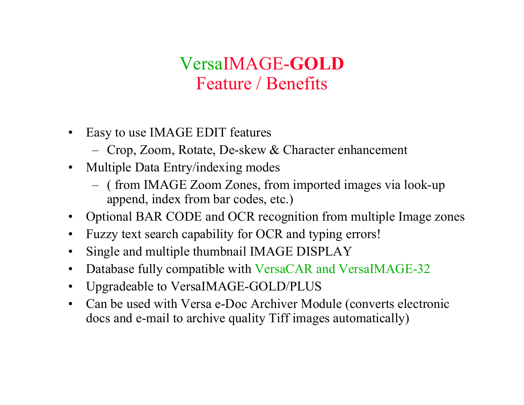### VersaIMAGE-**GOLD**  Feature / Benefits

- $\bullet$  Easy to use IMAGE EDIT features
	- Crop, Zoom, Rotate, De-skew & Character enhancement
- $\bullet$  Multiple Data Entry/indexing modes
	- ( from IMAGE Zoom Zones, from imported images via look-up append, index from bar codes, etc.)
- •Optional BAR CODE and OCR recognition from multiple Image zones
- $\bullet$ Fuzzy text search capability for OCR and typing errors!
- $\bullet$ Single and multiple thumbnail IMAGE DISPLAY
- $\bullet$ Database fully compatible with VersaCAR and VersaIMAGE-32
- •Upgradeable to VersaIMAGE-GOLD/PLUS
- $\bullet$  Can be used with Versa e-Doc Archiver Module (converts electronic docs and e-mail to archive quality Tiff images automatically)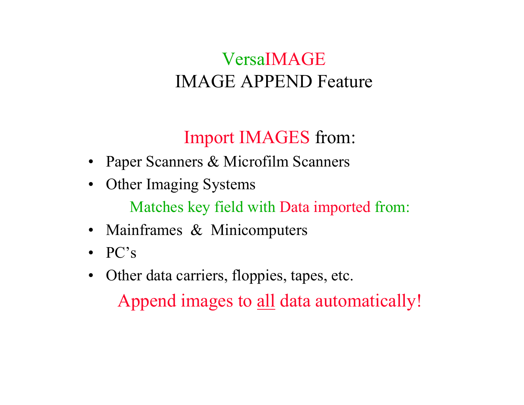## VersaIMAGEIMAGE APPEND Feature

## Import IMAGES from:

- Paper Scanners & Microfilm Scanners
- $\bullet$ Other Imaging Systems

Matches key field with Data imported from:

- Mainframes & Minicomputers
- PC's
- $\bullet$  Other data carriers, floppies, tapes, etc. Append images to all data automatically!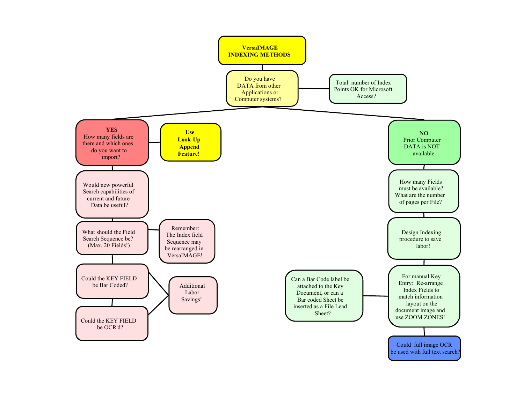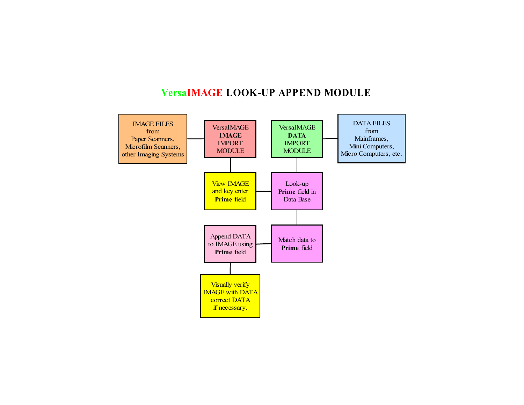#### **VersaIMAGE LOOK-UP APPEND MODULE**

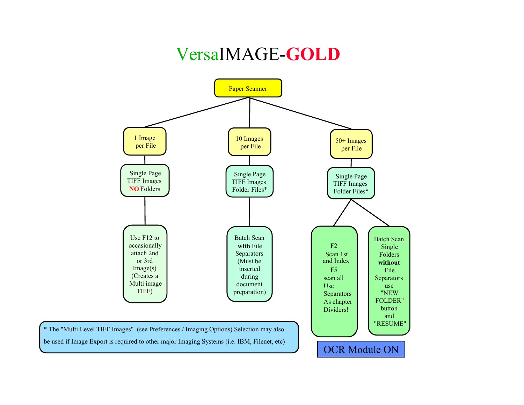### VersaIMAGE-**GOLD**

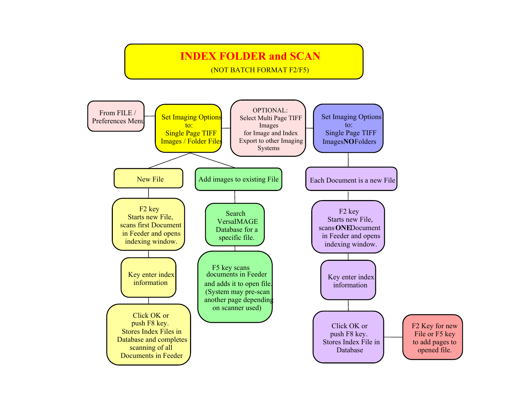#### **INDEX FOLDER and SCAN**

(NOT BATCH FORMAT F2/F5)

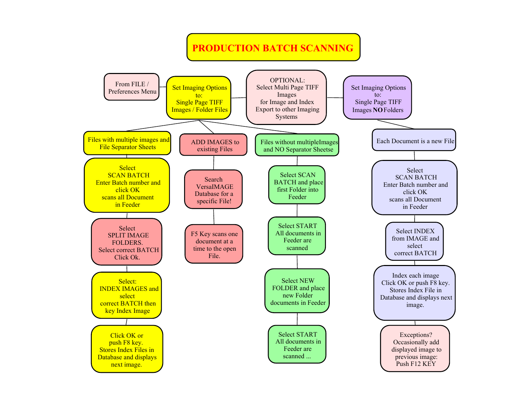#### **PRODUCTION BATCH SCANNING**

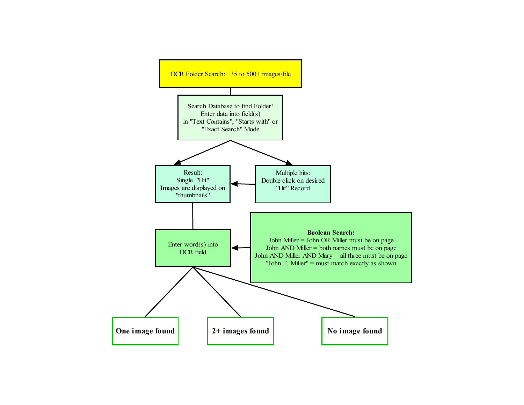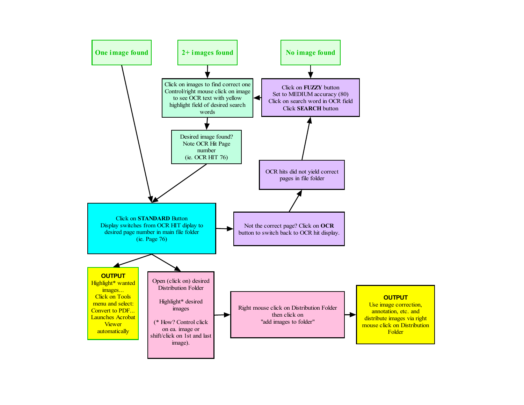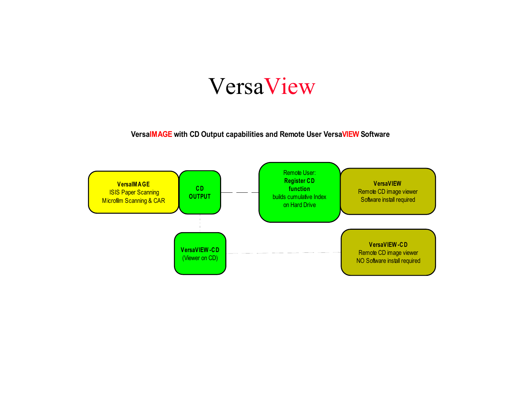## VersaView

**VersaIMAGE with CD Output capabilities and Remote User VersaVIEW Software**

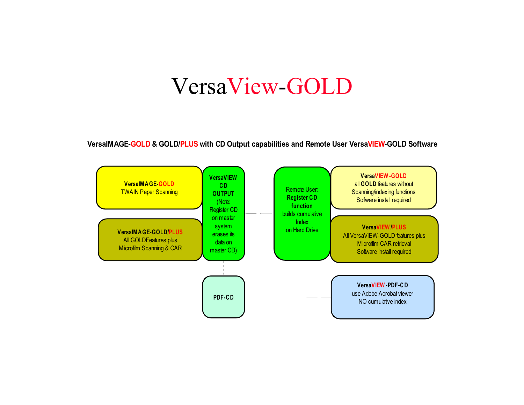## VersaView-GOLD

**VersaIMAGE-GOLD & GOLD/PLUS with CD Output capabilities and Remote User VersaVIEW-GOLD Software**

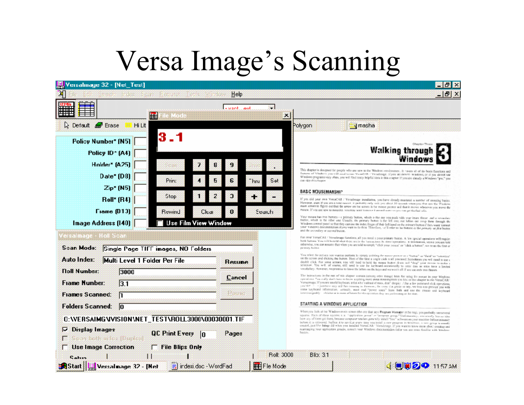## Versa Image's Scanning

- 日 × - I 라 X

lequesti Help

Versahnage 32 - [Net\_Test]

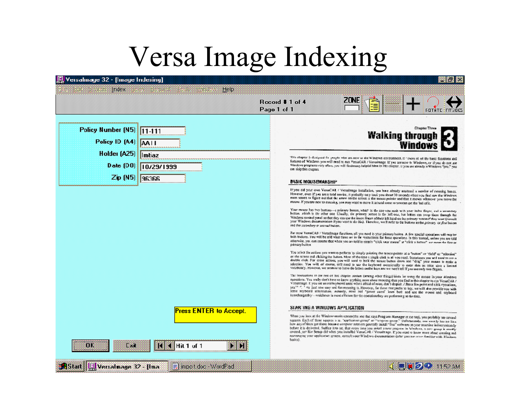# Versa Image Indexing

| /ersalmage.32 - [mage mlexmi]                                        |                                                                                                                                                                                                                                                                                                                                                                                                                                                                                                                                                                                                                                                                                                                                                                                                                                                                                                                                                                                      |
|----------------------------------------------------------------------|--------------------------------------------------------------------------------------------------------------------------------------------------------------------------------------------------------------------------------------------------------------------------------------------------------------------------------------------------------------------------------------------------------------------------------------------------------------------------------------------------------------------------------------------------------------------------------------------------------------------------------------------------------------------------------------------------------------------------------------------------------------------------------------------------------------------------------------------------------------------------------------------------------------------------------------------------------------------------------------|
| <b>Imex</b><br>Help                                                  | 7 NB<br>Rocord # 1 of 4<br>Page 1 of 1                                                                                                                                                                                                                                                                                                                                                                                                                                                                                                                                                                                                                                                                                                                                                                                                                                                                                                                                               |
| Policy Number (N5) 11-111<br>Policy ID (A4)   AA   I<br>Holder (A25) | Chapter Three<br>Walking through<br>Window                                                                                                                                                                                                                                                                                                                                                                                                                                                                                                                                                                                                                                                                                                                                                                                                                                                                                                                                           |
| Intiaz<br>Date $(D0)$<br>10/29/1999<br>$Zip$ (N5)<br><b>aasar </b>   | This obspect is designed for yought who are new to the Windows asymptotest. It "there all of the basic functions and<br>futures of Windows you will need to run VersaCAR / Versalmage. If you are new to Windows, or if you do not use<br>Windows programs very often, you will findmany helpist hims in this chapter. If you are already a Windows "pro." you<br>on skipthis capses.                                                                                                                                                                                                                                                                                                                                                                                                                                                                                                                                                                                                |
|                                                                      | <b>BASIC MOUSEMANSHIP</b><br>If you dd your own VeraCAI, ( Vessimage issullation, you have already masteed a samber of measing bases.<br>However, even if you are a total novice, it probably only tool you shout 30 seconds when you first zaw the Windraw.<br>man scasm is figure out that the arrow on the sitten is the mouse pointer and that it moves whenever you move the<br>mouse. If you are now to mousing, you may want to move it around some so you can get the 'eel of it.<br>Your mouse has two betters-a primary bitton, which is the one you such with your index finger, and a wrong-try<br>button, which is the other one Usually, the primary sutton is the left one, but letties can swap them through the<br>Windows control panel so that they can use the intext finger of their eft hand on the primary runned they were (consult<br>your Whidows decomentation it you want to do this). Therefore, we Il refer to the butters as the polecy or funchation |
|                                                                      | and the secondary or second buises.<br>For most VersaCAS / Versalininge functions, all you need is your paintery better. A few special operations will enquire<br>both budges. You will be reld what those are in the instructions for fresc speculions. In this momed, unless you are told<br>otherwise, you don assume that when you are told to simply "olick your mousa" or "click a hypna" we nown the first or<br>printry helice.                                                                                                                                                                                                                                                                                                                                                                                                                                                                                                                                              |
|                                                                      | You select the actions you want to perform by simply pointing the motoropointe: at a "outton" or "field" or "releation"<br>or the screen and clicking the batton. Most of the time a single click is all you read. Sometimes you will need to see a<br>double click. For some actions, you will used to bold the mouse butten drawn and "drag" your means to make a<br>selection. You will of exerce, still need to use the keyboard occasionally to enter duts as trice anye a liminal<br>vecaturey, However, we seemed to have the letters on the keys are we won't tell if you use only two firgers.                                                                                                                                                                                                                                                                                                                                                                              |
|                                                                      | The interactions in me rest of this eleptor contact (arrang other things) hints for using the mome in your Windows<br>ogentions. You make don't have to know anything more about moraing than you find in this chapter to run VessCAR /<br>versatrage. It you are anotal keyboxed anits who's affect of mice, don't despair. P.Bera few point and clock operations,<br>yes" " " ou just now cay ard fun months is. However, for these that profet to key, we will also provide you with<br>some supposed unamiation, actually, must red "power asen" learn both and use the mouse and orginard<br>interchargeably-whichever is most efficient for the operation they are performing at the time.                                                                                                                                                                                                                                                                                     |
| <b>Press ENTER to Accept.</b><br>ОX<br><b>Base</b><br>Hit 1 of 1     | SLAK ING A VINUOWS APPLICATION<br>When you look at the Windowsmain screen (the sne that says Program Manager at the top), you probably see several<br>squares. Each of three squares is so. "application games" or "wrogway goosp." Unfortunately, one wounly has no idea.<br>how any of then got there, because computer retainers generally install "free" voltware on your machine indiscrepisately<br>before it is delivered. Suffice it to say that every firm you in tall a new program in Windows, a corr group in anothy<br>created, any like Setup did when you installed VeranCAR / Verentrage. Kyou want is know more about creating and<br>restrateging your application groups, consoli your Windows decumentation (when you are refer-function with Windows<br>basics).                                                                                                                                                                                                |
| <b>AStart</b>   U Versalmage 32 - [Ima<br>Filmpot doc - WordPad      | <b>回回クウ 11500m</b>                                                                                                                                                                                                                                                                                                                                                                                                                                                                                                                                                                                                                                                                                                                                                                                                                                                                                                                                                                   |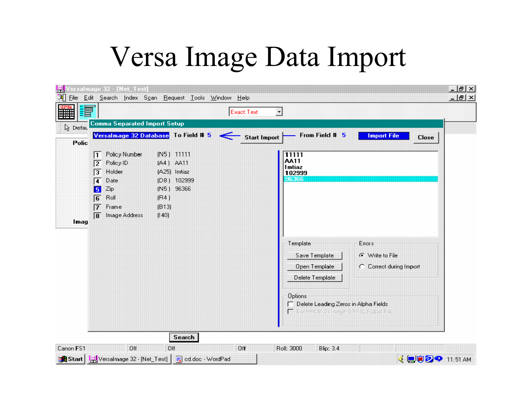# Versa Image Data Import

| E<br>₩         |                |                                      |              |              | <b>Exact Text</b>   | X                                                 |                             |  |
|----------------|----------------|--------------------------------------|--------------|--------------|---------------------|---------------------------------------------------|-----------------------------|--|
| <b>Q</b> Defac |                | Comma Separated Impo <u>rt Setup</u> |              |              |                     |                                                   |                             |  |
| Polic          |                | Versalmage 32 Database To Field # 5  |              | $\Leftarrow$ | <b>Start Import</b> | From Field # 5                                    | <b>Import File</b><br>Close |  |
|                | ∏ ∏            | Policy Number                        | (N5) 11111   |              |                     | 11111                                             |                             |  |
|                | 12             | Policy ID                            | (A4) AA11    |              |                     | AA11<br>I mtiaz                                   |                             |  |
|                | 厅              | Holder                               | (A25) Imtiaz |              |                     | 102999                                            |                             |  |
|                | 匠              | Date                                 | (D8) 102999  |              |                     | 96366                                             |                             |  |
|                | 5              | Zip                                  | (N5) 96366   |              |                     |                                                   |                             |  |
|                | $\overline{6}$ | Roll                                 | (R4)         |              |                     |                                                   |                             |  |
|                | $\overline{7}$ | Frame                                | (B13)        |              |                     |                                                   |                             |  |
|                | $\overline{8}$ | Image Address                        | (140)        |              |                     |                                                   |                             |  |
| Imag           |                |                                      |              |              |                     |                                                   |                             |  |
|                |                |                                      |              |              |                     |                                                   |                             |  |
|                |                |                                      |              |              |                     | Template                                          | Errors                      |  |
|                |                |                                      |              |              |                     | Save Template                                     | G Write to File             |  |
|                |                |                                      |              |              |                     | Open Template                                     | C Correct during Import     |  |
|                |                |                                      |              |              |                     |                                                   |                             |  |
|                |                |                                      |              |              |                     | Delete Template                                   |                             |  |
|                |                |                                      |              |              |                     |                                                   |                             |  |
|                |                |                                      |              |              |                     | Options<br>P Delete Leading Zeros in Alpha Fields |                             |  |
|                |                |                                      |              |              |                     | F. Lowert Multipage 11EF to Folder Ele            |                             |  |
|                |                |                                      |              |              |                     |                                                   |                             |  |
|                |                |                                      |              |              |                     |                                                   |                             |  |
|                |                |                                      | Search       |              |                     |                                                   |                             |  |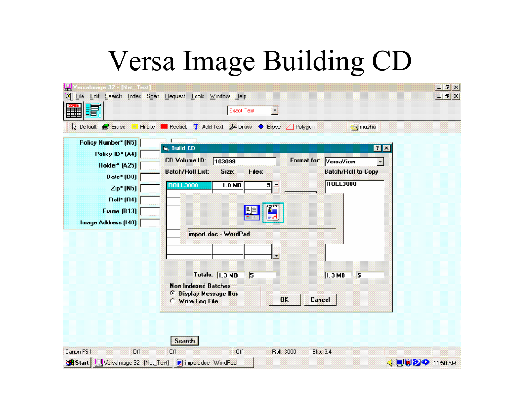# Versa Image Building CD

| 녴<br>sisahiraye 32 - [Net_Test]                                                                  | 에 Help Lile Lakt Search Index Sgan Hequest Lools Window Help<br>Exact Text<br>×                                                                                                                               | $-15x$  |
|--------------------------------------------------------------------------------------------------|---------------------------------------------------------------------------------------------------------------------------------------------------------------------------------------------------------------|---------|
| ₩<br>Le Default & Erase<br>Hi Lite  <br><b>Policy Number* (N5)</b>                               | ■ Redact T Add Text 2 Draw ● Bipse / Polygon<br><b>J</b> masha                                                                                                                                                |         |
| Policy ID* (A4)<br>Holder* (A25)<br>$Date* [D0]$<br>$Zip* (N5)$<br>$Doll* (D4)$<br>Fiame $(B13)$ | <b>G. Build CD</b><br>CD Volume ID:<br><b>Format for</b><br>103099<br>VeisaView<br><b>Batch/Holl to Copy</b><br><b>Batch/Holl List:</b><br>512e:<br>Hes:<br><b>ROLL3000</b><br><b>ROLL3000</b><br>1.0 MB<br>5 | 図図<br>× |
| Image Address (140)                                                                              | 鳔<br>import.doc · WordPad                                                                                                                                                                                     |         |
|                                                                                                  | Totals: 1.3 MB 5<br>$1.3 \, \text{MB}$<br>F<br><b>Non Indexed Batches</b><br><b><i>G</i></b> Display Message Box<br>0 <sub>K</sub><br>Cancel<br>Write Log File                                                |         |

|            |     | <b>Search</b> |     |            |               |                      |  |
|------------|-----|---------------|-----|------------|---------------|----------------------|--|
| Caron FS I | Off | Cff           | 0ff | Roll: 3000 | $B$ lio: $34$ |                      |  |
|            |     |               |     |            |               | <b>UTO 4</b> 1150 AM |  |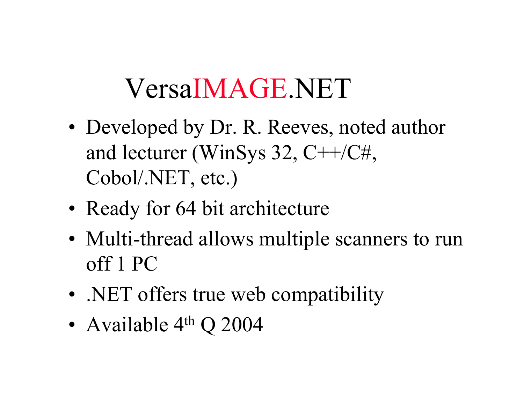# VersaIMAGE.NET

- Developed by Dr. R. Reeves, noted author and lecturer (WinSys 32, C++/C#, Cobol/.NET, etc.)
- Ready for 64 bit architecture
- Multi-thread allows multiple scanners to run off 1 PC
- .NET offers true web compatibility
- •Available 4th Q 2004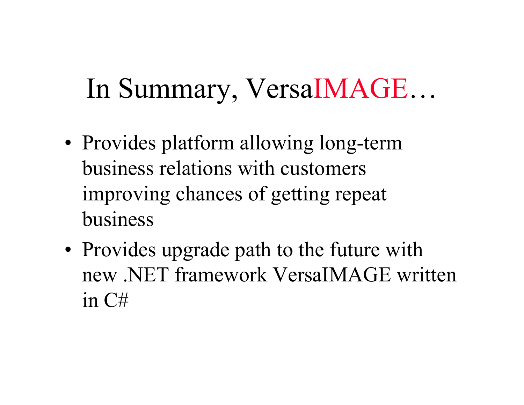#### In Summary, VersaIMAGE …

- Provides platform allowing long-term business relations with customers improving chances of getting repeat business
- Provides upgrade path to the future with new .NET framework VersaIMAGE written in C#